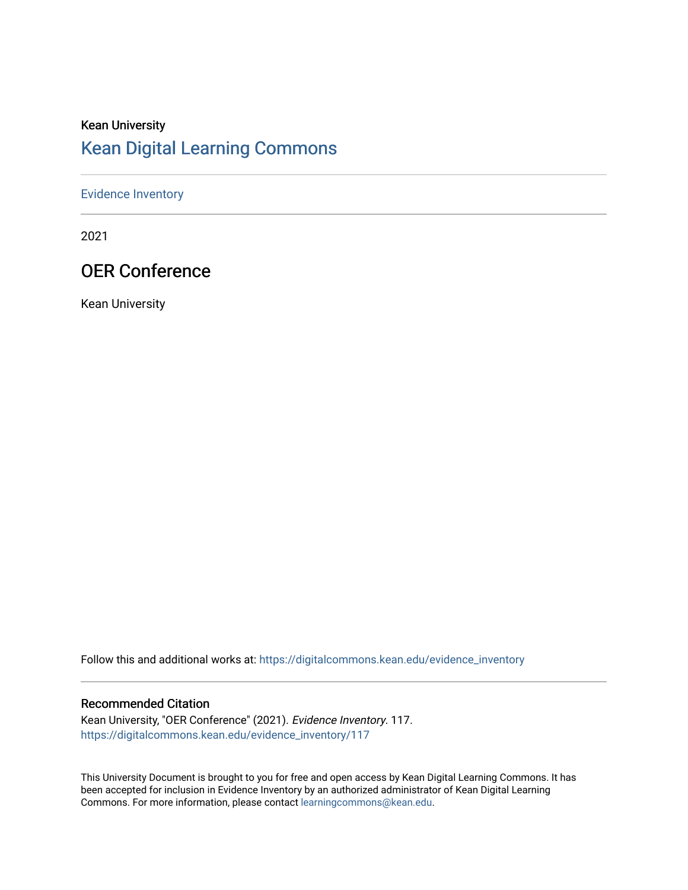## Kean University [Kean Digital Learning Commons](https://digitalcommons.kean.edu/)

### [Evidence Inventory](https://digitalcommons.kean.edu/evidence_inventory)

2021

## OER Conference

Kean University

Follow this and additional works at: [https://digitalcommons.kean.edu/evidence\\_inventory](https://digitalcommons.kean.edu/evidence_inventory?utm_source=digitalcommons.kean.edu%2Fevidence_inventory%2F117&utm_medium=PDF&utm_campaign=PDFCoverPages)

#### Recommended Citation

Kean University, "OER Conference" (2021). Evidence Inventory. 117. [https://digitalcommons.kean.edu/evidence\\_inventory/117](https://digitalcommons.kean.edu/evidence_inventory/117?utm_source=digitalcommons.kean.edu%2Fevidence_inventory%2F117&utm_medium=PDF&utm_campaign=PDFCoverPages)

This University Document is brought to you for free and open access by Kean Digital Learning Commons. It has been accepted for inclusion in Evidence Inventory by an authorized administrator of Kean Digital Learning Commons. For more information, please contact [learningcommons@kean.edu.](mailto:learningcommons@kean.edu)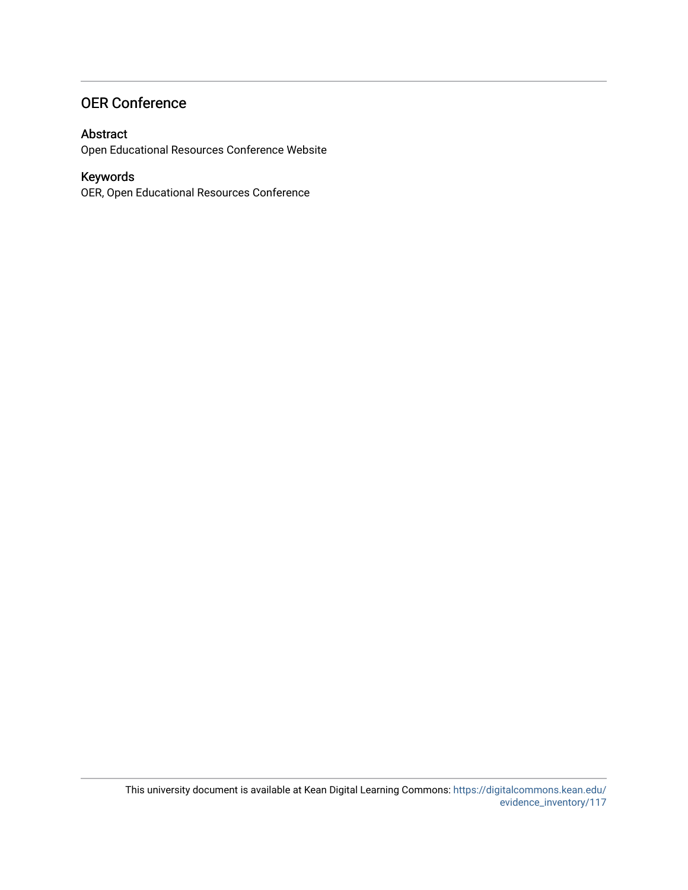## OER Conference

### Abstract

Open Educational Resources Conference Website

## Keywords

OER, Open Educational Resources Conference